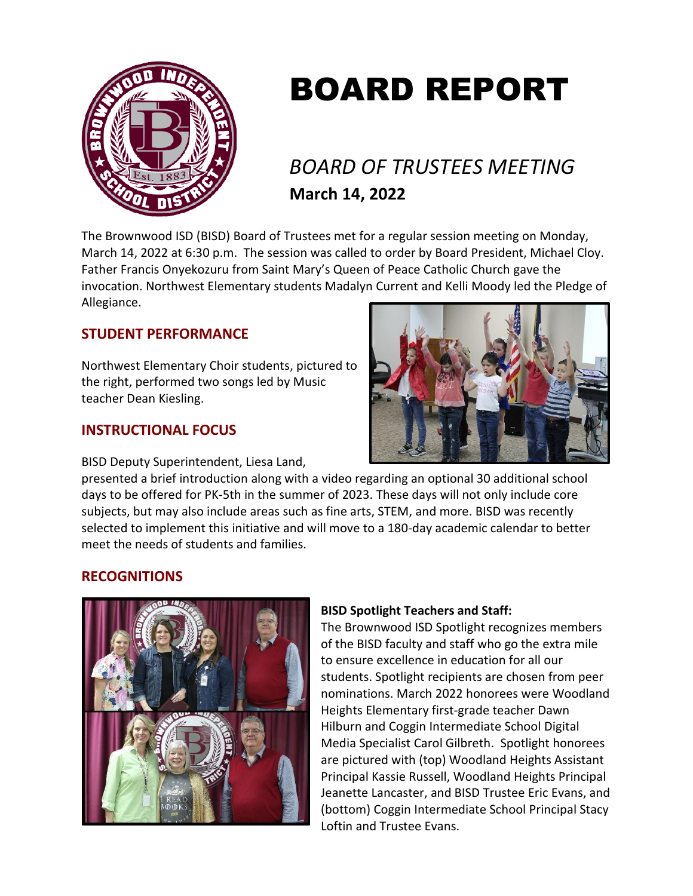

# BOARD REPORT

# *BOARD OF TRUSTEES MEETING* **March 14, 2022**

The Brownwood ISD (BISD) Board of Trustees met for a regular session meeting on Monday, March 14, 2022 at 6:30 p.m. The session was called to order by Board President, Michael Cloy. Father Francis Onyekozuru from Saint Mary's Queen of Peace Catholic Church gave the invocation. Northwest Elementary students Madalyn Current and Kelli Moody led the Pledge of Allegiance.

# **STUDENT PERFORMANCE**

Northwest Elementary Choir students, pictured to the right, performed two songs led by Music teacher Dean Kiesling.

# **INSTRUCTIONAL FOCUS**

BISD Deputy Superintendent, Liesa Land,



presented a brief introduction along with a video regarding an optional 30 additional school days to be offered for PK-5th in the summer of 2023. These days will not only include core subjects, but may also include areas such as fine arts, STEM, and more. BISD was recently selected to implement this initiative and will move to a 180-day academic calendar to better meet the needs of students and families.

# **RECOGNITIONS**



# **BISD Spotlight Teachers and Staff:**

The Brownwood ISD Spotlight recognizes members of the BISD faculty and staff who go the extra mile to ensure excellence in education for all our students. Spotlight recipients are chosen from peer nominations. March 2022 honorees were Woodland Heights Elementary first-grade teacher Dawn Hilburn and Coggin Intermediate School Digital Media Specialist Carol Gilbreth. Spotlight honorees are pictured with (top) Woodland Heights Assistant Principal Kassie Russell, Woodland Heights Principal Jeanette Lancaster, and BISD Trustee Eric Evans, and (bottom) Coggin Intermediate School Principal Stacy Loftin and Trustee Evans.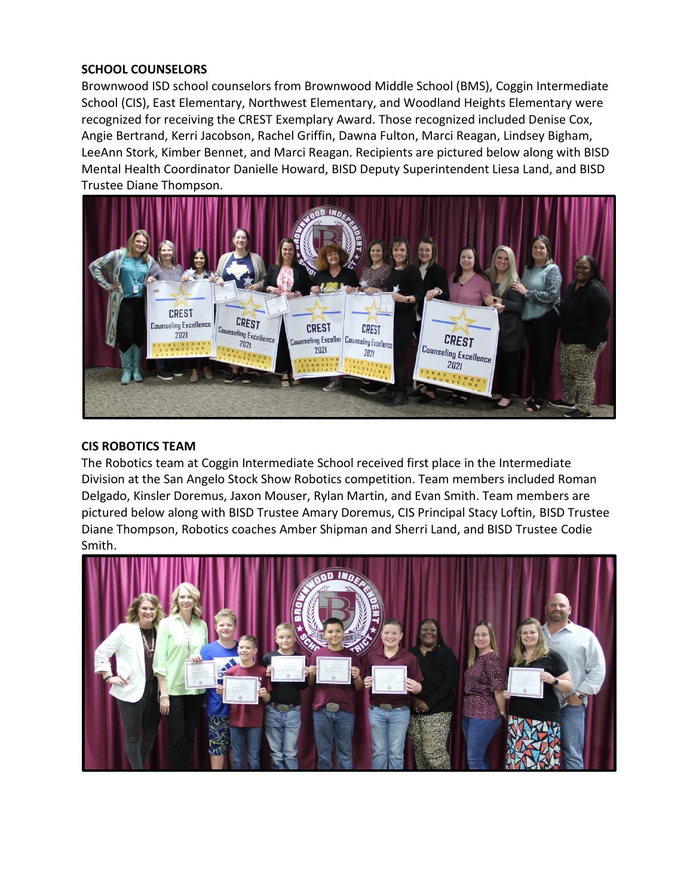#### **SCHOOL COUNSELORS**

Brownwood ISD school counselors from Brownwood Middle School (BMS), Coggin Intermediate School (CIS), East Elementary, Northwest Elementary, and Woodland Heights Elementary were recognized for receiving the CREST Exemplary Award. Those recognized included Denise Cox, Angie Bertrand, Kerri Jacobson, Rachel Griffin, Dawna Fulton, Marci Reagan, Lindsey Bigham, LeeAnn Stork, Kimber Bennet, and Marci Reagan. Recipients are pictured below along with BISD Mental Health Coordinator Danielle Howard, BISD Deputy Superintendent Liesa Land, and BISD Trustee Diane Thompson.



#### **CIS ROBOTICS TEAM**

The Robotics team at Coggin Intermediate School received first place in the Intermediate Division at the San Angelo Stock Show Robotics competition. Team members included Roman Delgado, Kinsler Doremus, Jaxon Mouser, Rylan Martin, and Evan Smith. Team members are pictured below along with BISD Trustee Amary Doremus, CIS Principal Stacy Loftin, BISD Trustee Diane Thompson, Robotics coaches Amber Shipman and Sherri Land, and BISD Trustee Codie Smith.

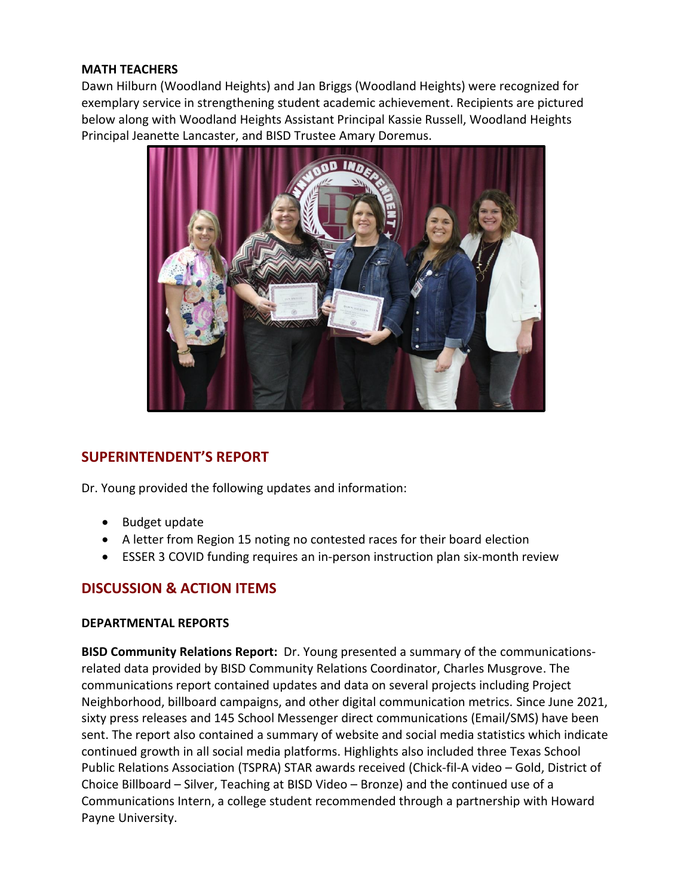#### **MATH TEACHERS**

Dawn Hilburn (Woodland Heights) and Jan Briggs (Woodland Heights) were recognized for exemplary service in strengthening student academic achievement. Recipients are pictured below along with Woodland Heights Assistant Principal Kassie Russell, Woodland Heights Principal Jeanette Lancaster, and BISD Trustee Amary Doremus.



# **SUPERINTENDENT'S REPORT**

Dr. Young provided the following updates and information:

- Budget update
- A letter from Region 15 noting no contested races for their board election
- ESSER 3 COVID funding requires an in-person instruction plan six-month review

# **DISCUSSION & ACTION ITEMS**

#### **DEPARTMENTAL REPORTS**

**BISD Community Relations Report:** Dr. Young presented a summary of the communicationsrelated data provided by BISD Community Relations Coordinator, Charles Musgrove. The communications report contained updates and data on several projects including Project Neighborhood, billboard campaigns, and other digital communication metrics. Since June 2021, sixty press releases and 145 School Messenger direct communications (Email/SMS) have been sent. The report also contained a summary of website and social media statistics which indicate continued growth in all social media platforms. Highlights also included three Texas School Public Relations Association (TSPRA) STAR awards received (Chick-fil-A video – Gold, District of Choice Billboard – Silver, Teaching at BISD Video – Bronze) and the continued use of a Communications Intern, a college student recommended through a partnership with Howard Payne University.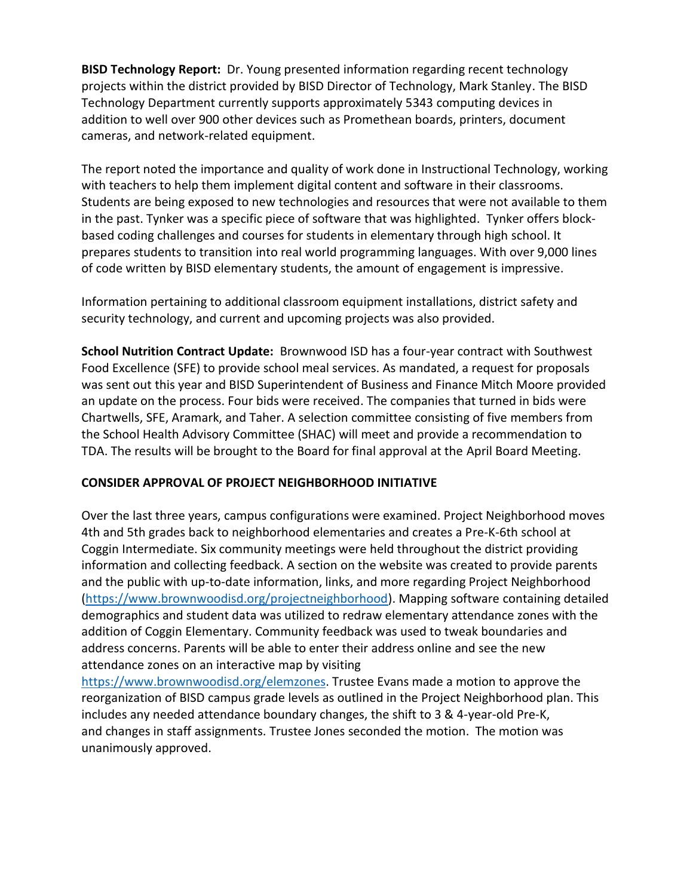**BISD Technology Report:** Dr. Young presented information regarding recent technology projects within the district provided by BISD Director of Technology, Mark Stanley. The BISD Technology Department currently supports approximately 5343 computing devices in addition to well over 900 other devices such as Promethean boards, printers, document cameras, and network-related equipment.

The report noted the importance and quality of work done in Instructional Technology, working with teachers to help them implement digital content and software in their classrooms. Students are being exposed to new technologies and resources that were not available to them in the past. Tynker was a specific piece of software that was highlighted. Tynker offers blockbased coding challenges and courses for students in elementary through high school. It prepares students to transition into real world programming languages. With over 9,000 lines of code written by BISD elementary students, the amount of engagement is impressive.

Information pertaining to additional classroom equipment installations, district safety and security technology, and current and upcoming projects was also provided.

**School Nutrition Contract Update:** Brownwood ISD has a four-year contract with Southwest Food Excellence (SFE) to provide school meal services. As mandated, a request for proposals was sent out this year and BISD Superintendent of Business and Finance Mitch Moore provided an update on the process. Four bids were received. The companies that turned in bids were Chartwells, SFE, Aramark, and Taher. A selection committee consisting of five members from the School Health Advisory Committee (SHAC) will meet and provide a recommendation to TDA. The results will be brought to the Board for final approval at the April Board Meeting.

## **CONSIDER APPROVAL OF PROJECT NEIGHBORHOOD INITIATIVE**

Over the last three years, campus configurations were examined. Project Neighborhood moves 4th and 5th grades back to neighborhood elementaries and creates a Pre-K-6th school at Coggin Intermediate. Six community meetings were held throughout the district providing information and collecting feedback. A section on the website was created to provide parents and the public with up-to-date information, links, and more regarding Project Neighborhood [\(https://www.brownwoodisd.org/projectneighborhood\)](https://www.brownwoodisd.org/projectneighborhood). Mapping software containing detailed demographics and student data was utilized to redraw elementary attendance zones with the addition of Coggin Elementary. Community feedback was used to tweak boundaries and address concerns. Parents will be able to enter their address online and see the new attendance zones on an interactive map by visiting

[https://www.brownwoodisd.org/elemzones.](https://www.brownwoodisd.org/elemzones) Trustee Evans made a motion to approve the reorganization of BISD campus grade levels as outlined in the Project Neighborhood plan. This includes any needed attendance boundary changes, the shift to 3 & 4-year-old Pre-K, and changes in staff assignments. Trustee Jones seconded the motion. The motion was unanimously approved.